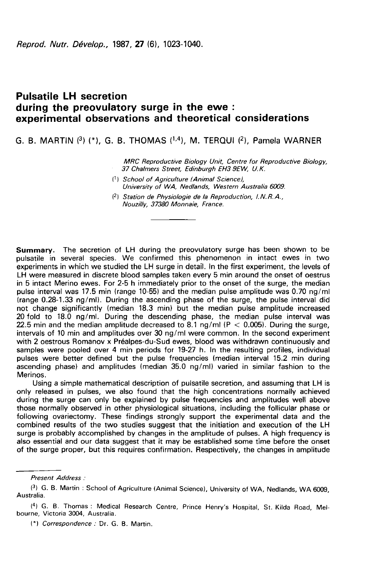Reprod. Nutr. Dévelop., 1987. 27 (6). 1023-1040.

# Pulsatile LH secretion during the preovulatory surge in the ewe : experimental observations and theoretical considerations

G. B. MARTIN  $\binom{3}{2}$  (\*), G. B. THOMAS  $\binom{1,4}{1}$ , M. TERQUI  $\binom{2}{1}$ , Pamela WARNER

MRC Reproductive Biology Unit, Centre for Reproductive Biology, 37 Chalmers Street, Edinburgh EH3 9EW, U. K.

(! 1 School of Agriculture (Animal Science), University of WA, Nedlands, Western Australia 6009.

(2) Station de Physiologie de la Reproduction, 1. N. R. A. , Nouzilly, 37380 Monnaie, France.

Summary. The secretion of LH during the preovulatory surge has been shown to be pulsatile in several species. We confirmed this phenomenon in intact ewes in two experiments in which we studied the LH surge in detail. In the first experiment, the levels of LH were measured in discrete blood samples taken every 5 min around the onset of oestrus in 5 intact Merino ewes. For 2-5 h immediately prior to the onset of the surge, the median pulse interval was 17.5 min (range 10-55) and the median pulse amplitude was 0.70 ng/ml (range 0.28-1.33 ng/ml). During the ascending phase of the surge, the pulse interval did not change significantly (median 18.3 min) but the median pulse amplitude increased 20 fold to 18.0 ng/ml. During the descending phase, the median pulse interval was 22.5 min and the median amplitude decreased to 8.1 ng/ml ( $P < 0.005$ ). During the surge, intervals of 10 min and amplitudes over 30 ng/ml were common. In the second experiment with 2 oestrous Romanov x Pr6aipes-du-Sud ewes, blood was withdrawn continuously and samples were pooled over 4 min periods for 19-27 h. In the resulting profiles, individual pulses were better defined but the pulse frequencies (median interval 15.2 min during ascending phase) and amplitudes (median 35.0 ng/ml) varied in similar fashion to the Merinos.

Using a simple mathematical description of pulsatile secretion, and assuming that LH is only released in pulses, we also found that the high concentrations normally achieved during the surge can only be explained by pulse frequencies and amplitudes well above those normally observed in other physiological situations, including the follicular phase or following ovariectomy. These findings strongly support the experimental data and the combined results of the two studies suggest that the initiation and execution of the LH surge is probably accomplished by changes in the amplitude of pulses. A high frequency is also essential and our data suggest that it may be established some time before the onset of the surge proper, but this requires confirmation. Respectively, the changes in amplitude

Present Address :

(\*) Correspondence : Dr. G. B. Martin.

<sup>&</sup>lt;sup>(3)</sup> G. B. Martin : School of Agriculture (Animal Science), University of WA, Nedlands, WA 6009, Australia.

<sup>(4)</sup> G. B. Thomas : Medical Research Centre, Prince Henry's Hospital, St. Kilda Road, Melbourne, Victoria 3004, Australia.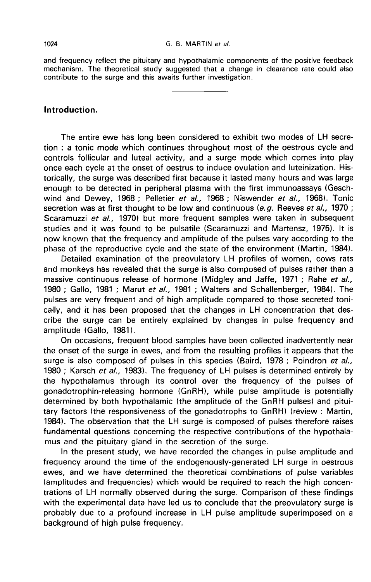and frequency reflect the pituitary and hypothalamic components of the positive feedback mechanism. The theoretical study suggested that a change in clearance rate could also contribute to the surge and this awaits further investigation.

## Introduction.

The entire ewe has long been considered to exhibit two modes of LH secretion : a tonic mode which continues throughout most of the oestrous cycle and controls follicular and luteal activity, and a surge mode which comes into play once each cycle at the onset of oestrus to induce ovulation and luteinization. Historically, the surge was described first because it lasted many hours and was large enough to be detected in peripheral plasma with the first immunoassays (Geschwind and Dewey, 1968 ; Pelletier et al., 1968 ; Niswender et al., 1968). Tonic secretion was at first thought to be low and continuous (e.g. Reeves et al., 1970 ; Scaramuzzi et al., 1970) but more frequent samples were taken in subsequent studies and it was found to be pulsatile (Scaramuzzi and Martensz, 1975). It is now known that the frequency and amplitude of the pulses vary according to the phase of the reproductive cycle and the state of the environment (Martin, 1984).

Detailed examination of the preovulatory LH profiles of women, cows rats and monkeys has revealed that the surge is also composed of pulses rather than a massive continuous release of hormone (Midgley and Jaffe, 1971 ; Rahe et al., 1980 ; Gallo, 1981 ; Marut et al., 1981 ; Walters and Schallenberger, 1984). The pulses are very frequent and of high amplitude compared to those secreted tonically, and it has been proposed that the changes in LH concentration that describe the surge can be entirely explained by changes in pulse frequency and amplitude (Gallo, 1981).

On occasions, frequent blood samples have been collected inadvertently near the onset of the surge in ewes, and from the resulting profiles it appears that the surge is also composed of pulses in this species (Baird, 1978 ; Poindron et al., 1980 ; Karsch et al., 1983). The frequency of LH pulses is determined entirely by the hypothalamus through its control over the frequency of the pulses of gonadotrophin-releasing hormone (GnRH), while pulse amplitude is potentially determined by both hypothalamic (the amplitude of the GnRH pulses) and pituitary factors (the responsiveness of the gonadotrophs to GnRH) (review : Martin, 1984). The observation that the LH surge is composed of pulses therefore raises fundamental questions concerning the respective contributions of the hypothala mus and the pituitary gland in the secretion of the surge.

In the present study, we have recorded the changes in pulse amplitude and frequency around the time of the endogenously-generated LH surge in oestrous ewes, and we have determined the theoretical combinations of pulse variables (amplitudes and frequencies) which would be required to reach the high concentrations of LH normally observed during the surge. Comparison of these findings with the experimental data have led us to conclude that the preovulatory surge is probably due to a profound increase in LH pulse amplitude superimposed on a background of high pulse frequency.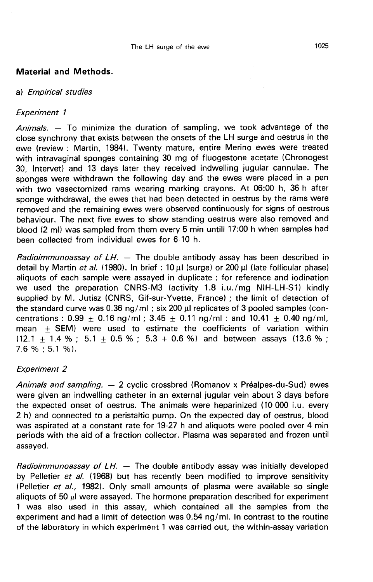## Material and Methods.

### a) Empirical studies

## Experiment 1

Animals.  $-$  To minimize the duration of sampling, we took advantage of the close synchrony that exists between the onsets of the LH surge and oestrus in the ewe (review : Martin, 1984). Twenty mature, entire Merino ewes were treated with intravaginal sponges containing 30 mg of fluogestone acetate (Chronogest 30, Intervet) and 13 days later they received indwelling jugular cannulae. The sponges were withdrawn the following day and the ewes were placed in a pen with two vasectomized rams wearing marking crayons. At 06:00 h, 36 h after sponge withdrawal, the ewes that had been detected in oestrus by the rams were removed and the remaining ewes were observed continuously for signs of oestrous behaviour. The next five ewes to show standing oestrus were also removed and blood (2 ml) was sampled from them every 5 min untill 17:00 h when samples had been collected from individual ewes for 6-10 h.

Radioimmunoassay of  $LH$ . - The double antibody assay has been described in detail by Martin et al. (1980). In brief : 10  $\mu$ l (surge) or 200  $\mu$ l (late follicular phase) aliquots of each sample were assayed in duplicate ; for reference and iodination we used the preparation CNRS-M3 (activity 1.8 i.u./mg NIH-LH-S1) kindly supplied by M. Jutisz (CNRS, Gif-sur-Yvette, France) ; the limit of detection of the standard curve was  $0.36$  ng/ml; six 200  $\mu$ I replicates of 3 pooled samples (concentrations :  $0.99 \pm 0.16$  ng/ml ;  $3.45 \pm 0.11$  ng/ml : and  $10.41 \pm 0.40$  ng/ml, mean  $\pm$  SEM) were used to estimate the coefficients of variation within (12.1  $\pm$  1.4 %; 5.1  $\pm$  0.5 %; 5.3  $\pm$  0.6 %) and between assays (13.6 %; 7.6%;5.1 %).

# Experiment 2

Animals and sampling.  $-2$  cyclic crossbred (Romanov x Préalpes-du-Sud) ewes were given an indwelling catheter in an external jugular vein about 3 days before the expected onset of oestrus. The animals were heparinized (10 000 i.u. every 2 h) and connected to a peristaltic pump. On the expected day of oestrus, blood was aspirated at a constant rate for 19-27 h and aliquots were pooled over 4 min periods with the aid of a fraction collector. Plasma was separated and frozen until assayed.

Radioimmunoassay of  $LH$ . - The double antibody assay was initially developed by Pelletier et al. (1968) but has recently been modified to improve sensitivity (Pelletier et al., 1982). Only small amounts of plasma were available so single aliquots of 50  $\mu$ l were assayed. The hormone preparation described for experiment 1 was also used in this assay, which contained all the samples from the experiment and had a limit of detection was 0.54 ng/ml. In contrast to the routine of the laboratory in which experiment 1 was carried out, the within-assay variation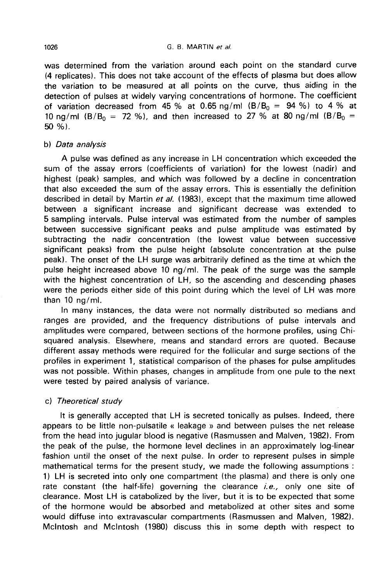was determined from the variation around each point on the standard curve (4 replicates). This does not take account of the effects of plasma but does allow the variation to be measured at all points on the curve, thus aiding in the detection of pulses at widely varying concentrations of hormone. The coefficient the variation to be measured at all points on the curve, thus aiding in the detection of pulses at widely varying concentrations of hormone. The coefficient of variation decreased from 45 % at 0.65 ng/ml (B/B $_0$  = 94 %) of variation decreased from 45 % at 0.65 ng/ml (B/B<sub>0</sub> = 94 %) to 4 % at 10 ng/ml (B/B<sub>0</sub> = 72 %), and then increased to 27 % at 80 ng/ml (B/B<sub>0</sub> = 50 %).

## b) Data analysis

A pulse was defined as any increase in LH concentration which exceeded the sum of the assay errors (coefficients of variation) for the lowest (nadir) and highest (peak) samples, and which was followed by a decline in concentration that also exceeded the sum of the assay errors. This is essentially the definition described in detail by Martin et al. (1983), except that the maximum time allowed between a significant increase and significant decrease was extended to 5 sampling intervals. Pulse interval was estimated from the number of samples between successive significant peaks and pulse amplitude was estimated by subtracting the nadir concentration (the lowest value between successive significant peaks) from the pulse height (absolute concentration at the pulse peak). The onset of the LH surge was arbitrarily defined as the time at which the pulse height increased above 10 ng/ml. The peak of the surge was the sample with the highest concentration of LH, so the ascending and descending phases were the periods either side of this point during which the level of LH was more than 10 ng/ml.

In many instances, the data were not normally distributed so medians and ranges are provided, and the frequency distributions of pulse intervals and amplitudes were compared, between sections of the hormone profiles, using Chisquared analysis. Elsewhere, means and standard errors are quoted. Because different assay methods were required for the follicular and surge sections of the profiles in experiment 1, statistical comparison of the phases for pulse amplitudes was not possible. Within phases, changes in amplitude from one pule to the next were tested by paired analysis of variance.

# c) Theoretical study

It is generally accepted that LH is secreted tonically as pulses. Indeed, there appears to be little non-pulsatile « leakage » and between pulses the net release from the head into jugular blood is negative (Rasmussen and Malven, 1982). From the peak of the pulse, the hormone level declines in an approximately log-linear fashion until the onset of the next pulse. In order to represent pulses in simple mathematical terms for the present study, we made the following assumptions : 11 LH is secreted into only one compartment (the plasma) and there is only one rate constant (the half-life) governing the clearance  $i.e.,$  only one site of clearance. Most LH is catabolized by the liver, but it is to be expected that some of the hormone would be absorbed and metabolized at other sites and some would diffuse into extravascular compartments (Rasmussen and Malven, 1982). Mclntosh and Mclntosh (1980) discuss this in some depth with respect to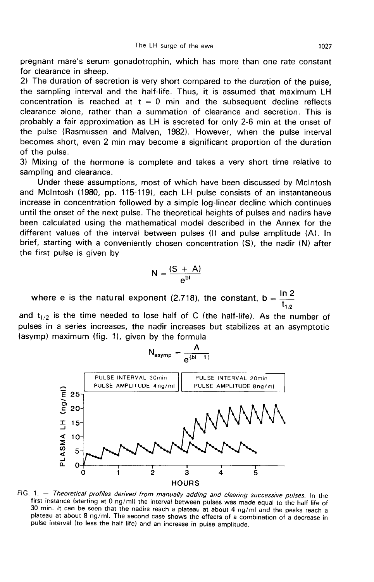pregnant mare's serum gonadotrophin, which has more than one rate constant for clearance in sheep.

2) The duration of secretion is very short compared to the duration of the pulse, the sampling interval and the half-life. Thus, it is assumed that maximum LH concentration is reached at  $t = 0$  min and the subsequent decline reflects clearance alone, rather than a summation of clearance and secretion. This is probably a fair approximation as LH is secreted for only 2-6 min at the onset of the pulse (Rasmussen and Malven, 1982). However, when the pulse interval becomes short, even 2 min may become a significant proportion of the duration of the pulse.

3) Mixing of the hormone is complete and takes a very short time relative to sampling and clearance.

Under these assumptions, most of which have been discussed by McIntosh and McIntosh (1980, pp. 115-119), each LH pulse consists of an instantaneous increase in concentration followed by a simple log-linear decline which continues until the onset of the next pulse. The theoretical heights of pulses and nadirs have been calculated using the mathematical model described in the Annex for the different values of the interval between pulses (I) and pulse amplitude (A). In brief, starting with a conveniently chosen concentration (S), the nadir (N) after the first pulse is given by

$$
N = \frac{(S + A)}{e^{bl}}
$$

where e is the natural exponent (2.718), the constant,  $b = \frac{\ln 2}{t}$  $\frac{1}{t_{1/2}}$ 

and  $t_{1/2}$  is the time needed to lose half of C (the half-life). As the number of pulses in a series increases, the nadir increases but stabilizes at an asymptotic (asymp) maximum (fig. 1), given by the formula



FIG. 1. - Theoretical profiles derived from manually adding and clearing successive pulses. In the first instance (starting at 0 ng/ml) the interval between pulses was made equal to the half life of 30 min. It can be seen that the nadirs reach a plateau at about 4 ng/ml and the peaks reach a plateau at about 8 ng/ml. The second case shows the effects of a combination of a decrease in pulse interval (to less the half life) and an increase in pulse amplitude.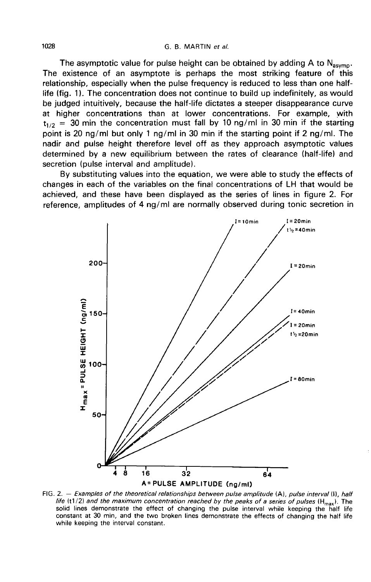The asymptotic value for pulse height can be obtained by adding A to  $N_{\text{asymp}}$ .<br>The existence of an asymptote is perhaps the most striking feature of this relationship, especially when the pulse frequency is reduced to less than one halflife (fig. 1). The concentration does not continue to build up indefinitely, as would be judged intuitively, because the half-life dictates a steeper disappearance curve at higher concentrations than at lower concentrations. For example, with  $t_{1/2}$  = 30 min the concentration must fall by 10 ng/ml in 30 min if the starting point is 20 ng/ml but only 1 ng/ml in 30 min if the starting point if 2 ng/ml. The nadir and pulse height therefore level off as they approach asymptotic values determined by a new equilibrium between the rates of clearance (half-life) and secretion (pulse interval and amplitude).

By substituting values into the equation, we were able to study the effects of changes in each of the variables on the final concentrations of LH that would be achieved, and these have been displayed as the series of lines in figure 2. For reference, amplitudes of 4 ng/ml are normally observed during tonic secretion in



FIG. 2. - Examples of the theoretical relationships between pulse amplitude (A), pulse interval (I), half life (t1/2) and the maximum concentration reached by the peaks of a series of pulses ( $H_{\text{max}}$ ). The solid lines demonstrate the effect of changing the pulse interval while keeping the half life constant at 30 min, and the two broken lines demonstrate the effects of changing the half life while keeping the interval constant.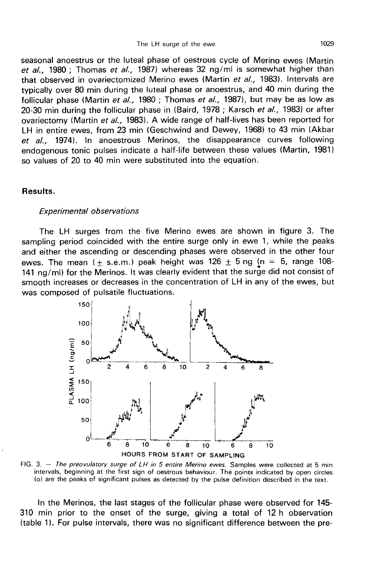seasonal anoestrus or the luteal phase of oestrous cycle of Merino ewes (Martin et al., 1980 ; Thomas et al., 1987) whereas 32 ng/ml is somewhat higher than that observed in ovariectomized Merino ewes (Martin et al., 1983). Intervals are typically over 80 min during the luteal phase or anoestrus, and 40 min during the follicular phase (Martin et al., 1980 ; Thomas et al., 1987), but may be as low as 20-30 min during the follicular phase in (Baird, 1978 ; Karsch et al., 1983) or after ovariectomy (Martin et al., 1983). A wide range of half-lives has been reported for LH in entire ewes, from 23 min (Geschwind and Dewey, 1968) to 43 min (Akbar et al., 1974). In anoestrous Merinos, the disappearance curves following endogenous tonic pulses indicate a half-life between these values (Martin, 1981) so values of 20 to 40 min were substituted into the equation.

### Results.

#### Experimental observations

The LH surges from the five Merino ewes are shown in figure 3. The sampling period coincided with the entire surge only in ewe 1, while the peaks and either the ascending or descending phases were observed in the other four ewes. The mean ( $\pm$  s.e.m.) peak height was 126  $\pm$  5 ng (n = 5, range 108-141 ng/ml) for the Merinos. It was clearly evident that the surge did not consist of smooth increases or decreases in the concentration of LH in any of the ewes, but was composed of pulsatile fluctuations.



FIG. 3. - The preovulatory surge of LH in 5 entire Merino ewes. Samples were collected at 5 min intervals, beginning at the first sign of oestrous behaviour. The points indicated by open circles (o) are the peaks of significant pulses as detected by the pulse definition described in the text.

In the Merinos, the last stages of the follicular phase were observed for 145- 310 min prior to the onset of the surge, giving a total of 12 h observation (table 11. For pulse intervals, there was no significant difference between the pre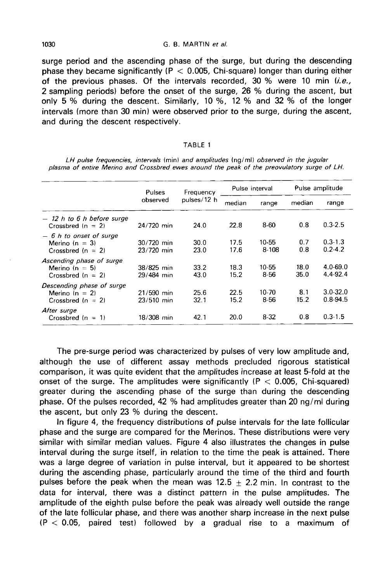surge period and the ascending phase of the surge, but during the descending phase they became significantly ( $P < 0.005$ , Chi-square) longer than during either of the previous phases. Of the intervals recorded,  $30\%$  were 10 min (i.e., 2 sampling periods) before the onset of the surge, 26 % during the ascent, but only 5 % during the descent. Similarly, 10 %, 12 % and 32 % of the longer intervals (more than 30 min) were observed prior to the surge, during the ascent, and during the descent respectively.

#### TARIF 1

LH pulse frequencies, intervals (min) and amplitudes (nq/ml) observed in the jugular plasma of entire Merino and Crossbred ewes around the peak of the preovulatory surge of LH.

|                                                                      | Pulses<br>observed       | Frequency<br>pulses/12 h | Pulse interval |                       | Pulse amplitude |                              |
|----------------------------------------------------------------------|--------------------------|--------------------------|----------------|-----------------------|-----------------|------------------------------|
|                                                                      |                          |                          | median         | range                 | median          | range                        |
| $-12h$ to 6 h before surge<br>Crossbred $(n = 2)$                    | 24/720 min               | 24.0                     | 22.8           | 8-60                  | 0.8             | $0.3 - 2.5$                  |
| $-6h$ to onset of surge<br>Merino $(n = 3)$<br>Crossbred $(n = 2)$   | 30/720 min<br>23/720 min | 30.0<br>23.0             | 17.5<br>17.6   | 10-55<br>$8 - 108$    | 0.7<br>0.8      | $0.3 - 1.3$<br>$0.2 - 4.2$   |
| Ascending phase of surge<br>Merino $(n = 5)$<br>Crossbred $(n = 2)$  | 38/825 min<br>29/484 min | 33.2<br>43.0             | 18.3<br>15.2   | $10 - 55$<br>$8 - 56$ | 18.0<br>35.0    | $4.0 - 69.0$<br>4.4-92.4     |
| Descending phase of surge<br>Merino $(n = 2)$<br>Crossbred $(n = 2)$ | 21/590 min<br>23/510 min | 25.6<br>32.1             | 22.5<br>15.2   | 10-70<br>8-56         | 8.1<br>15.2     | $3.0 - 32.0$<br>$0.8 - 94.5$ |
| After surge<br>Crossbred $(n = 1)$                                   | 18/308 min               | 42.1                     | 20.0           | 8-32                  | 0.8             | $0.3 - 1.5$                  |

The pre-surge period was characterized by pulses of very low amplitude and, although the use of different assay methods precluded rigorous statistical comparison, it was quite evident that the amplitudes increase at least 5-fold at the onset of the surge. The amplitudes were significantly ( $P < 0.005$ , Chi-squared) greater during the ascending phase of the surge than during the descending phase. Of the pulses recorded, 42 % had amplitudes greater than 20 ng/ml during the ascent, but only 23 % during the descent.

In figure 4, the frequency distributions of pulse intervals for the late follicular phase and the surge are compared for the Merinos. These distributions were very similar with similar median values. Figure 4 also illustrates the changes in pulse interval during the surge itself, in relation to the time the peak is attained. There was a large degree of variation in pulse interval, but it appeared to be shortest during the ascending phase, particularly around the time of the third and fourth pulses before the peak when the mean was  $12.5 + 2.2$  min. In contrast to the data for interval, there was a distinct pattern in the pulse amplitudes. The amplitude of the eighth pulse before the peak was already well outside the range of the late follicular phase, and there was another sharp increase in the next pulse  $(P < 0.05$ , paired test) followed by a gradual rise to a maximum of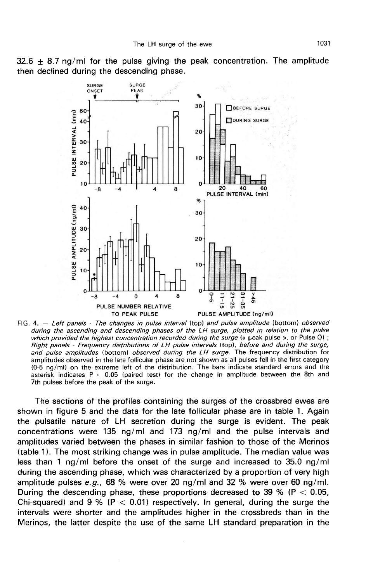



FIG. 4. - Left panels - The changes in pulse interval (top) and pulse amplitude (bottom) observed during the ascending and descending phases of the LH surge, plotted in relation to the pulse which provided the highest concentration recorded during the surge (« Leak pulse », or Pulse O) : Right panels - Frequency distributions of LH pulse intervals (top), before and during the surge, and pulse amplitudes (bottom) observed during the LH surge. The frequency distribution for amplitudes observed in the late follicular phase are not shown as all pulses fell in the first category (0-5 ng/ml) on the extreme left of the distribution. The bars indicate standard errors and the asterisk indicates  $P < 0.05$  (paired test) for the change in amplitude between the 8th and 7th pulses before the peak of the surge.

The sections of the profiles containing the surges of the crossbred ewes are shown in figure 5 and the data for the late follicular phase are in table 1. Again the pulsatile nature of LH secretion during the surge is evident. The peak concentrations were 135 ng/ml and 173 ng/ml and the pulse intervals and amplitudes varied between the phases in similar fashion to those of the Merinos (table 11. The most striking change was in pulse amplitude. The median value was less than 1 ng/ml before the onset of the surge and increased to 35.0 ng/ml during the ascending phase, which was characterized by a proportion of very high amplitude pulses e.g., 68 % were over 20 ng/ml and 32 % were over 60 ng/ml. During the descending phase, these proportions decreased to 39 % ( $P < 0.05$ , Chi-squared) and 9 % ( $P < 0.01$ ) respectively. In general, during the surge the intervals were shorter and the amplitudes higher in the crossbreds than in the Merinos, the latter despite the use of the same LH standard preparation in the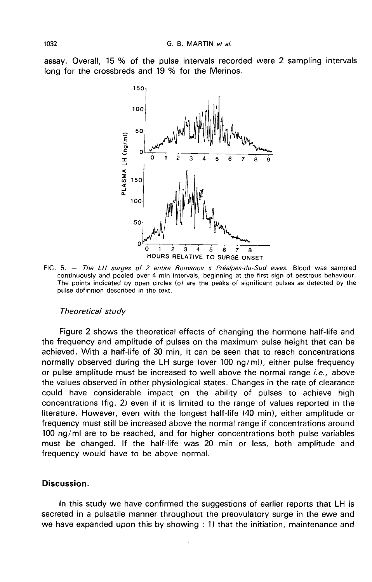assay. Overall, 15 % of the pulse intervals recorded were 2 sampling intervals long for the crossbreds and 19 % for the Merinos.



FIG. 5. - The LH surges of 2 entire Romanov x Préalpes-du-Sud ewes. Blood was sampled continuously and pooled over 4 min intervals, beginning at the first sign of oestrous behaviour. The points indicated by open circles (o) are the peaks of significant pulses as detected by the pulse definition described in the text.

#### Theoretical study

Figure 2 shows the theoretical effects of changing the hormone half-life and the frequency and amplitude of pulses on the maximum pulse height that can be achieved. With a half-life of 30 min, it can be seen that to reach concentrations normally observed during the LH surge (over 100 ng/ml), either pulse frequency or pulse amplitude must be increased to well above the normal range *i.e.*, above the values observed in other physiological states. Changes in the rate of clearance could have considerable impact on the ability of pulses to achieve high concentrations (fig. 2) even if it is limited to the range of values reported in the literature. However, even with the longest half-life (40 min), either amplitude or frequency must still be increased above the normal range if concentrations around 100 ng/ml are to be reached, and for higher concentrations both pulse variables must be changed. If the half-life was 20 min or less, both amplitude and frequency would have to be above normal.

### Discussion.

In this study we have confirmed the suggestions of earlier reports that LH is secreted in a pulsatile manner throughout the preovulatory surge in the ewe and we have expanded upon this by showing : 1) that the initiation, maintenance and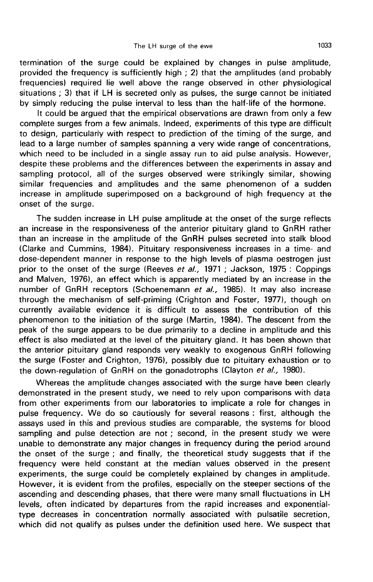termination of the surge could be explained by changes in pulse amplitude, provided the frequency is sufficiently high ; 2) that the amplitudes (and probably frequencies) required lie well above the range observed in other physiological situations ; 3) that if LH is secreted only as pulses, the surge cannot be initiated by simply reducing the pulse interval to less than the half-life of the hormone.

It could be argued that the empirical observations are drawn from only a few complete surges from a few animals. Indeed, experiments of this type are difficult to design, particularly with respect to prediction of the timing of the surge, and lead to a large number of samples spanning a very wide range of concentrations, which need to be included in a single assay run to aid pulse analysis. However, despite these problems and the differences between the experiments in assay and sampling protocol, all of the surges observed were strikingly similar, showing similar frequencies and amplitudes and the same phenomenon of a sudden increase in amplitude superimposed on a background of high frequency at the onset of the surge.

The sudden increase in LH pulse amplitude at the onset of the surge reflects an increase in the responsiveness of the anterior pituitary gland to GnRH rather than an increase in the amplitude of the GnRH pulses secreted into stalk blood (Clarke and Cummins, 1984). Pituitary responsiveness increases in a time- and dose-dependent manner in response to the high levels of plasma oestrogen just prior to the onset of the surge (Reeves et al., 1971 ; Jackson, 1975 : Coppings and Malven, 1976), an effect which is apparently mediated by an increase in the number of GnRH receptors (Schoenemann et  $al.$ , 1985). It may also increase through the mechanism of self-priming (Crighton and Foster, 1977), though on currently available evidence it is difficult to assess the contribution of this phenomenon to the initiation of the surge (Martin, 1984). The descent from the peak of the surge appears to be due primarily to a decline in amplitude and this effect is also mediated at the level of the pituitary gland. It has been shown that the anterior pituitary gland responds very weakly to exogenous GnRH following the surge (Foster and Crighton, 1976), possibly due to pituitary exhaustion or to the down-regulation of GnRH on the gonadotrophs (Clayton et al., 1980).

Whereas the amplitude changes associated with the surge have been clearly demonstrated in the present study, we need to rely upon comparisons with data from other experiments from our laboratories to implicate a role for changes in pulse frequency. We do so cautiously for several reasons : first, although the assays used in this and previous studies are comparable, the systems for blood sampling and pulse detection are not ; second, in the present study we were unable to demonstrate any major changes in frequency during the period around the onset of the surge ; and finally, the theoretical study suggests that if the frequency were held constant at the median values observed in the present experiments, the surge could be completely explained by changes in amplitude. However, it is evident from the profiles, especially on the steeper sections of the ascending and descending phases, that there were many small fluctuations in LH levels, often indicated by departures from the rapid increases and exponentialtype decreases in concentration normally associated with pulsatile secretion, which did not qualify as pulses under the definition used here. We suspect that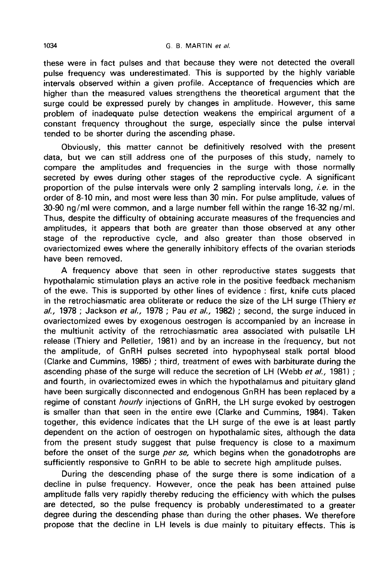these were in fact pulses and that because they were not detected the overall pulse frequency was underestimated. This is supported by the highly variable intervals observed within a given profile. Acceptance of frequencies which are higher than the measured values strengthens the theoretical argument that the surge could be expressed purely by changes in amplitude. However, this same problem of inadequate pulse detection weakens the empirical argument of a constant frequency throughout the surge, especially since the pulse interval tended to be shorter during the ascending phase.

Obviously, this matter cannot be definitively resolved with the present data, but we can still address one of the purposes of this study, namely to compare the amplitudes and frequencies in the surge with those normally secreted by ewes during other stages of the reproductive cycle. A significant proportion of the pulse intervals were only 2 sampling intervals long, *i.e.* in the order of 8-10 min, and most were less than 30 min. For pulse amplitude, values of 30-90 ng/ml were common, and a large number fell within the range 16-32 ng/ml. Thus, despite the difficulty of obtaining accurate measures of the frequencies and amplitudes, it appears that both are greater than those observed at any other stage of the reproductive cycle, and also greater than those observed in ovariectomized ewes where the generally inhibitory effects of the ovarian steriods have been removed.

A frequency above that seen in other reproductive states suggests that hypothalamic stimulation plays an active role in the positive feedback mechanism of the ewe. This is supported by other lines of evidence : first, knife cuts placed in the retrochiasmatic area obliterate or reduce the size of the LH surge (Thiery et al., 1978 ; Jackson et al., 1978 ; Pau et al., 1982) ; second, the surge induced in ovariectomized ewes by exogenous oestrogen is accompanied by an increase in the multiunit activity of the retrochiasmatic area associated with pulsatile LH release (Thiery and Pelletier, 1981) and by an increase in the frequency, but not the amplitude, of GnRH pulses secreted into hypophyseal stalk portal blood (Clarke and Cummins, 1985) ; third, treatment of ewes with barbiturate during the ascending phase of the surge will reduce the secretion of LH (Webb et al., 1981) ; and fourth, in ovariectomized ewes in which the hypothalamus and pituitary gland have been surgically disconnected and endogenous GnRH has been replaced by a regime of constant hourly injections of GnRH, the LH surge evoked by oestrogen is smaller than that seen in the entire ewe (Clarke and Cummins, 1984). Taken together, this evidence indicates that the LH surge of the ewe is at least partly dependent on the action of oestrogen on hypothalamic sites, although the data from the present study suggest that pulse frequency is close to a maximum before the onset of the surge per se, which begins when the gonadotrophs are sufficiently responsive to GnRH to be able to secrete high amplitude pulses.

During the descending phase of the surge there is some indication of a decline in pulse frequency. However, once the peak has been attained pulse amplitude falls very rapidly thereby reducing the efficiency with which the pulses are detected, so the pulse frequency is probably underestimated to a greater degree during the descending phase than during the other phases. We therefore propose that the decline in LH levels is due mainly to pituitary effects. This is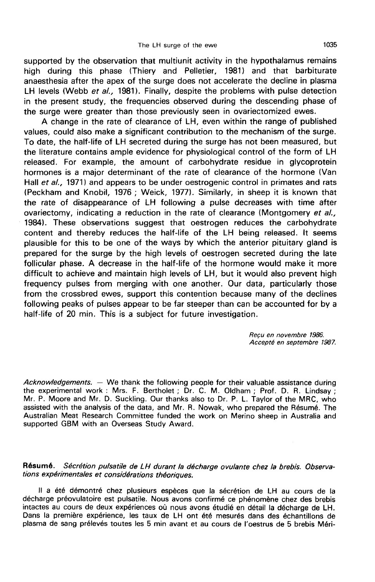supported by the observation that multiunit activity in the hypothalamus remains high during this phase (Thiery and Pelletier, 1981) and that barbiturate anaesthesia after the apex of the surge does not accelerate the decline in plasma LH levels (Webb et  $al.$ , 1981). Finally, despite the problems with pulse detection in the present study, the frequencies observed during the descending phase of the surge were greater than those previously seen in ovariectomized ewes.

A change in the rate of clearance of LH, even within the range of published values, could also make a significant contribution to the mechanism of the surge. To date, the half-life of LH secreted during the surge has not been measured, but the literature contains ample evidence for physiological control of the form of LH released. For example, the amount of carbohydrate residue in glycoprotein hormones is a major determinant of the rate of clearance of the hormone (Van Hall et al., 1971) and appears to be under oestrogenic control in primates and rats (Peckham and Knobil, 1976 ; Weick, 1977). Similarly, in sheep it is known that the rate of disappearance of LH following a pulse decreases with time after ovariectomy, indicating a reduction in the rate of clearance (Montgomery et al., 1984). These observations suggest that oestrogen reduces the carbohydrate content and thereby reduces the half-life of the LH being released. It seems plausible for this to be one of the ways by which the anterior pituitary gland is prepared for the surge by the high levels of oestrogen secreted during the late follicular phase. A decrease in the half-life of the hormone would make it more difficult to achieve and maintain high levels of LH, but it would also prevent high frequency pulses from merging with one another. Our data, particularly those from the crossbred ewes, support this contention because many of the declines following peaks of pulses appear to be far steeper than can be accounted for by a half-life of 20 min. This is a subject for future investigation.

> Recu en novembre 1986. Accept6 en septembre 1987.

Acknowledgements.  $-$  We thank the following people for their valuable assistance during the experimental work : Mrs. F. Bertholet ; Dr. C. M. Oldham ; Prof. D. R. Lindsay ; Mr. P. Moore and Mr. D. Suckling. Our thanks also to Dr. P. L. Taylor of the MRC, who assisted with the analysis of the data, and Mr. R. Nowak, who prepared the Resume. The Australian Meat Research Committee funded the work on Merino sheep in Australia and supported GBM with an Overseas Study Award.

Résumé. Sécrétion pulsatile de LH durant la décharge ovulante chez la brebis. Observations expérimentales et considérations théoriques.

Il a été démontré chez plusieurs espèces que la sécrétion de LH au cours de la décharge préovulatoire est pulsatile. Nous avons confirmé ce phénomène chez des brebis intactes au cours de deux expériences où nous avons étudié en détail la décharge de LH. Dans la première expérience, les taux de LH ont été mesurés dans des échantillons de plasma de sang prélevés toutes les 5 min avant et au cours de l'oestrus de 5 brebis Méri-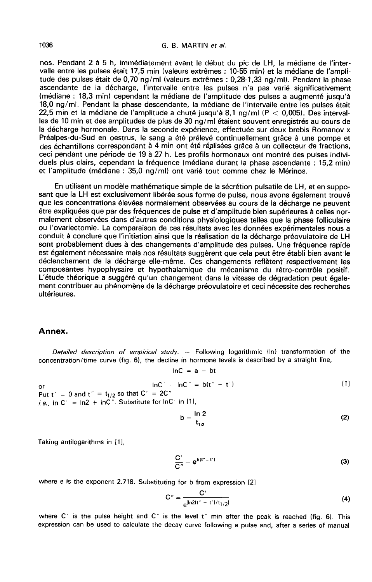#### G R MARTIN et al.

nos. Pendant 2 à 5 h, immédiatement avant le début du pic de LH, la médiane de l'intervalle entre les pulses était 17,5 min (valeurs extrêmes : 10-55 min) et la médiane de l'amplitude des pulses était de 0,70 ng/ml (valeurs extrêmes : 0,28-1,33 ng/ml). Pendant la phase ascendante de la décharge, l'intervalle entre les pulses n'a pas varié significativement (médiane : 18,3 min) cependant la médiane de l'amplitude des pulses a augmenté jusqu'à 18,0 ng/ml. Pendant la phase descendante, la médiane de l'intervalle entre les pulses était 22.5 min et la médiane de l'amplitude a chuté jusqu'à 8,1 ng/ml  $(P < 0.005)$ . Des intervalles de 10 min et des amplitudes de plus de 30 ng/ml étaient souvent enregistrés au cours de la décharge hormonale. Dans la seconde expérience, effectuée sur deux brebis Romanov x Préalpes-du-Sud en oestrus, le sang a été prélevé continuellement grâce à une pompe et des échantillons correspondant à 4 min ont été réalisées grâce à un collecteur de fractions, ceci pendant une période de 19 à 27 h. Les profils hormonaux ont montré des pulses indiviet l'amplitude (médiane : 35,0 ng/ml) ont varié tout comme chez le Mérinos.

En utilisant un modèle mathématique simple de la sécrétion pulsatile de LH, et en suppo- sant que la LH est exclusivement libérée sous forme de pulse, nous avons également trouvé que les concentrations élevées normalement observées au cours de la décharge ne peuvent être expliquées que par des fréquences de pulse et d'amplitude bien supérieures à celles normalement observées dans d'autres conditions physiologiques telles que la phase folliculaire ou l'ovariectomie. La comparaison de ces résultats avec les données expérimentales nous a conduit à conclure que l'initiation ainsi que la réalisation de la décharge préovulatoire de LH sont probablement dues à des changements d'amplitude des pulses. Une fréquence rapide est également nécessaire mais nos résultats suggèrent que cela peut être établi bien avant le déclenchement de la décharge elle-même. Ces changements reflètent respectivement les composantes hypophysaire et hypothalamique du mécanisme du rétro-contrôle positif. ment contribuer au phénomène de la décharge préovulatoire et ceci nécessite des recherches ultérieures.

#### Annex.

Detailed description of empirical study.  $-$  Following logarithmic (In) transformation of the concentration/time curve (fig. 6), the decline in hormone levels is described by a straight line,

$$
InC = a - bt
$$

$$
lnC' - lnC'' = b(t'' - t') \tag{1}
$$

or lnC<sup>or</sup> = 0 and t<sup>or</sup> = t<sub>1/2</sub> so that C<sup>or</sup> = 2C<sup>or</sup> *i.e.*, In C' =  $\ln 2 + \ln C$ ". Substitute for  $\ln C$  in [1],

$$
b = \frac{\ln 2}{t_{12}} \tag{2}
$$

Taking antilogarithms in [1], ),

$$
\frac{C'}{C''} = e^{b(t'-t')} \tag{3}
$$

where e is the exponent 2.718. Substituting for b from expression [2]

$$
C'' = \frac{C'}{e^{[\ln 2(t'' - t')/t_{1/2}]}}
$$
(4)

where C' is the pulse height and C" is the level  $t''$  min after the peak is reached (fig. 6). This expression can be used to calculate the decay curve following a pulse and, after a series of manual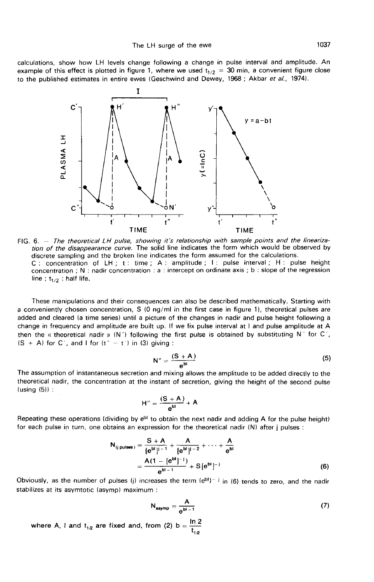calculations, show how LH levels change following a change in pulse interval and amplitude. An example of this effect is plotted in figure 1, where we used  $t_{1/2} = 30$  min, a convenient figure close to the published estimates in entire ewes (Geschwind and Dewey, 1968; Akbar et al., 1974).



FIG. 6. - The theoretical LH pulse, showing it's relationship with sample points and the linearization of the disappearance curve. The solid line indicates the form which would be observed by discrete sampling and the broken line indicates the form assumed for the calculations. C: concentration of LH; t: time; A: amplitude; I: pulse interval; H: pulse height concentration; N: nadir concentration: a: intercept on ordinate axis; b: slope of the regression line;  $t_{1/2}$ : half life.

These manipulations and their consequences can also be described mathematically. Starting with a conveniently chosen concentration, S (0 ng/ml in the first case in figure 1), theoretical pulses are added and cleared (a time series) until a picture of the changes in nadir and pulse height following a change in frequency and amplitude are built up. If we fix pulse interval at I and pulse amplitude at A then the « theoretical nadir » (N") following the first pulse is obtained by substituting N" for C",  $(S + A)$  for C', and I for  $(t<sup>2</sup> - t<sup>2</sup>)$  in (3) giving :

$$
N'' = \frac{(S + A)}{e^{bl}}
$$
 (5)

The assumption of instantaneous secretion and mixing allows the amplitude to be added directly to the theoretical nadir, the concentration at the instant of secretion, giving the height of the second pulse (using (5)) :

$$
H'' = \frac{(S + A)}{e^{bt}} + A
$$

Repeating these operations (dividing by e<sup>bl</sup> to obtain the next nadir and adding A for the pulse height) for each pulse in turn, one obtains an expression for the theoretical nadir (N) after j pulses :

$$
N_{(i \text{ pulses})} = \frac{S + A}{[e^{bl}]^{i-1}} + \frac{A}{[e^{bl}]^{i-2}} + \dots + \frac{A}{e^{bl}} = \frac{A(1 - [e^{bl}]^{-i})}{e^{bl - 1}} + S[e^{bl}]^{-i}
$$
(6)

Obviously, as the number of pulses (j) increases the term  $(e^{b1})^{-1}$  in (6) tends to zero, and the nadir stabilizes at its asymtotic (asymp) maximum :

$$
N_{asymp} = \frac{A}{e^{bl-1}}
$$
 (7)

where A, I and  $t_{1/2}$  are fixed and, from (2) b =  $\frac{\ln 2}{t_{1/2}}$ \*1/2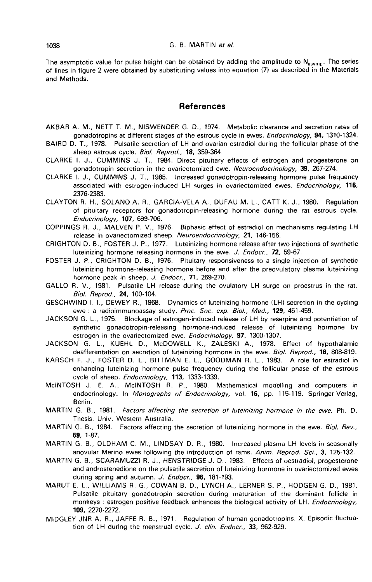G. B. MARTIN *et al.*<br>The asymptotic value for pulse height can be obtained by adding the amplitude to N<sub>asymp</sub>. The series<br>of lines in figure 2 were obtained by substituting values into equation (7) as described in the Ma and Methods.

#### **References**

- AKBAR A. M., NETT T. M., NISWENDER G. D., 1974. Metabolic clearance and secretion rates of gonadotropins at different stages of the estrous cycle in ewes. *Endocrinology*, 94, 1310-1324.
- BAIRD D. T., 1978. Pulsatile secretion of LH and ovarian estradiol during the follicular phase of the sheep estrous cycle. Biol. Reprod., 18, 359-364.
- CLARKE I. J., CUMMINS J. T., 1984. Direct pituitary effects of estrogen and progesterone on gonadotropin secretion in the ovariectomized ewe. Neuroendocrinology, 39, 267-274.
- CLARKE I. J., CUMMINS J. T., 1985. Increased gonadotropin-releasing hormone pulse frequency associated with estrogen-induced LH surges in ovariectomized ewes. Endocrinology, 116, 2376-2383.
- CLAYTON R. H., SOLANO A. R., GARCIA-VELA A., DUFAU M. L., CATT K. J., 1980. Regulation of pituitary receptors for gonadotropin-releasing hormone during the rat estrous cycle. Endocrinology, 107, 699-706.
- COPPINGS R. J., MALVEN P. V., 1976. Biphasic effect of estradiol on mechanisms regulating LH release in ovariectomized sheep. Neuroendocrinology, 21, 146-156.
- CRIGHTON D. B., FOSTER J. P., 1977. Luteinizing hormone release after two injections of synthetic luteinizing hormone releasing hormone in the ewe. J. Endocr., 72, 59-67.
- FOSTER J. P., CRIGHTON D. B., 1976. Pituitary responsiveness to a single injection of synthetic luteinizing hormone-releasing hormone before and after the preovulatory plasma luteinizing hormone peak in sheep. J. Endocr., 71, 269-270.
- GALLO R. V., 1981. Pulsatile LH release during the ovulatory LH surge on proestrus in the rat. Biol. Reprod., 24, 100-104.
- GESCHWIND I. L, DEWEY R., 1968. Dynamics of luteinizing hormone (LH) secretion in the cycling ewe : a radioimmunoassay study. Proc. Soc. exp. Biol., Med., 129, 451-459.
- JACKSON G. L., 1975. Blockage of estrogen-induced release of LH by reserpine and potentiation of synthetic gonadotropin-releasing hormone-induced release of luteinizing hormone by estrogen in the ovariectomized ewe. Endocrinology, 97, 1300-1307.
- JACKSON G. L., KUEHL D., McDOWELL K., ZALESKI A., 1978. Effect of hypothalamic deafferentation on secretion of luteinizing hormone in the ewe. Biol. Reprod., 18, 808-819.
- KARSCH F. J., FOSTER D. L., BITTMAN E. L., GOODMAN R. L., 1983. A role for estradiol in enhancing luteinizing hormone pulse frequency during the follicular phase of the estrous cycle of sheep. Endocrinology, 113, 1333-1339.
- McINTOSH J. E. A., MciNTOSH R. P., 1980. Mathematical modelling and computers in endocrinology. In Monographs of Endocrinology, vol. 16, pp. 115-119. Springer-Verlag, Berlin.
- MARTIN G. B., 1981. Factors affecting the secretion of luteinizing hormone in the ewe. Ph. D. Thesis. Univ. Western Australia.
- MARTIN G. B., 1984. Factors affecting the secretion of luteinizing hormone in the ewe. Biol. Rev., 59, 1-87.
- MARTIN G. B., OLDHAM C. M., LINDSAY D. R., 1980. Increased plasma LH levels in seasonally anovular Merino ewes following the introduction of rams. Anim. Reprod. Sci., 3, 125-132.
- MARTIN G. B., SCARAMUZZI R. J., HENSTRIDGE J. D., 1983. Effects of oestradiol, progesterone and androstenedione on the pulsatile secretion of luteinizing hormone in ovariectomized ewes during spring and autumn. J. Endocr., **96**, 181-193.
- MARUT E. L., WILLIAMS R. G., COWAN B. D., LYNCH A., LERNER S. P., HODGEN G. D., 1981. Pulsatile pituitary gonadotropin secretion during maturation of the dominant follicle in monkeys : estrogen positive feedback enhances the biological activity of LH. Endocrinology, 109, 2270-2272.
- MIDGLEY JNR A. R., JAFFE R. B., 1971. Regulation of human gonadotropins. X. Episodic fluctuation of LH during the menstrual cycle. J. clin. Endocr., 33, 962-929.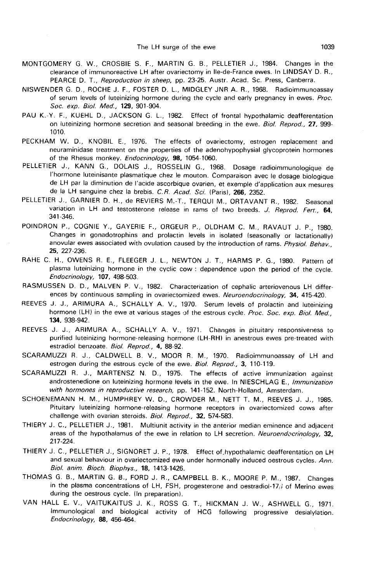- MONTGOMERY G. W., CROSBIE S. F., MARTIN G. B., PELLETIER J., 1984. Changes in the clearance of immunoreactive LH after ovariectomy in Ile-de-France ewes. In LINDSAY D. R., PEARCE D. T., Reproduction in sheep, pp. 23-25. Austr. Acad. Sc. Press, Canberra.
- NISWENDER G. D., ROCHE J. F., FOSTER D. L., MIDGLEY JNR A. R., 1968. Radioimmunoassay of serum levels of luteinizing hormone during the cycle and early pregnancy in ewes. Proc. Soc. exp. Biol. Med., 129, 901-904.
- PAU K.-Y. F., KUEHL D., JACKSON G. L., 1982. Effect of frontal hypothalamic deafferentation on luteinizing hormone secretion and seasonal breeding in the ewe. Biol. Reprod., 27, 999-1010.
- PECKHAM W. D., KNOBIL E., 1976. The effects of ovariectomy, estrogen replacement and neuraminidase treatment on the properties of the adenohypophysial glycoprotein hormones of the Rhesus monkey. Endocrinology, 98, 1054-1060.
- PELLETIER J., KANN G., DOLAIS J., ROSSELIN G., 1968. Dosage radioimmunologique de<br>l'hormone luteinisante plasmatique chez le mouton. Comparaison avec le dosage biologique de LH par la diminution de l'acide ascorbique ovarien, et exemple d'application aux mesures de la LH sanguine chez la brebis. C.R. Acad. Sci. (Paris), 266, 2352.
- PELLETIER J., GARNIER D. H., de REVIERS M.-T., TERQUI M., ORTAVANT R., 1982. Seasonal variation in LH and testosterone release in rams of two breeds. J. Reprod. Fert., 64, 341-346.
- POINDRON P., COGNIE Y., GAYERIE F., ORGEUR P., OLDHAM C. M., RAVAUT J. P., 1980.<br>Changes in gonadotrophins and prolactin levels in isolated (seasonally or lactationally) anovular ewes associated with ovulation caused by the introduction of rams. Physiol. Behav., 25, 227-236.
- RAHE C. H., OWENS R. E., FLEEGER J. L., NEWTON J. T., HARMS P. G., 1980. Pattern of plasma luteinizing hormone in the cyclic cow : dependence upon the period of the cycle. Endocrinology, 107, 498-503.
- RASMUSSEN D. D., MALVEN P. V., 1982. Characterization of cephalic arteriovenous LH differences by continuous sampling in ovariectomized ewes. Neuroendocrinology, 34, 415-420.<br>REEVES J. J., ARIMURA A., SCHALLY A. V., 1970. Serum levels of prolactin and luteinizing
- hormone (LH) in the ewe at various stages of the estrous cycle. Proc. Soc. exp. Biol. Med., 134, 938-942.
- REEVES J. J., ARIMURA A., SCHALLY A. V., 1971. Changes in pituitary responsiveness to purified luteinizing hormone-releasing hormone (LH-RH) in anestrous ewes pre-treated with estradiol benzoate. Biol. Reprod., 4, 88-92.
- SCARAMUZZI R. J., CALDWELL B. V., MOOR R. M., 1970. Radioimmunoassay of LH and estrogen during the estrous cycle of the ewe. Biol. Reprod., 3, 110-119.
- SCARAMUZZI R. J., MARTENSZ N. D., 1975. The effects of active immunization against androstenedione on luteinizing hormone levels in the ewe. In NIESCHLAG E., Immunization with hormones in reproductive research, pp. 141-152. North-Holland, Amsterdam.
- SCHOENEMANN H. M., HUMPHREY W. D., CROWDER M., NETT T. M., REEVES J. J., 1985. Pituitary luteinizing hormone-releasing hormone receptors in ovariectomized cows after challenge with ovarian steroids. Biol. Reprod., 32, 574-583.
- THIERY J. C., PELLETIER J., 1981. Multiunit activity in the anterior median eminence and adjacent areas of the hypothalamus of the ewe in relation to LH secretion. Neuroendocrinology, 32,<br>217-224. 217-224. '
- THIERY J. C., PELLETIER J., SIGNORET J. P., 1978. Effect of\_hypothalamic deafferentation on LH and sexual behaviour in ovariectomized ewe under hormonally induced oestrous cycles. Ann. Biol. anim. Bioch. Biophys., 18, 1413-1426.
- THOMAS G. B., MARTIN G. B., FORD J. R., CAMPBELL B. K., MOORE P. M., 1987. Changes in the plasma concentrations of LH, FSH, progesterone and oestradiol-17,i of Merino ewes during the oestrous cycle. (In preparation).
- VAN HALL E. V., VAITUKAITUS J. K., ROSS G. T., HICKMAN J. W., ASHWELL G., 1971. Immunological and biological activity of HCG following progressive desialylation. Endocrinology, 88, 456-464.